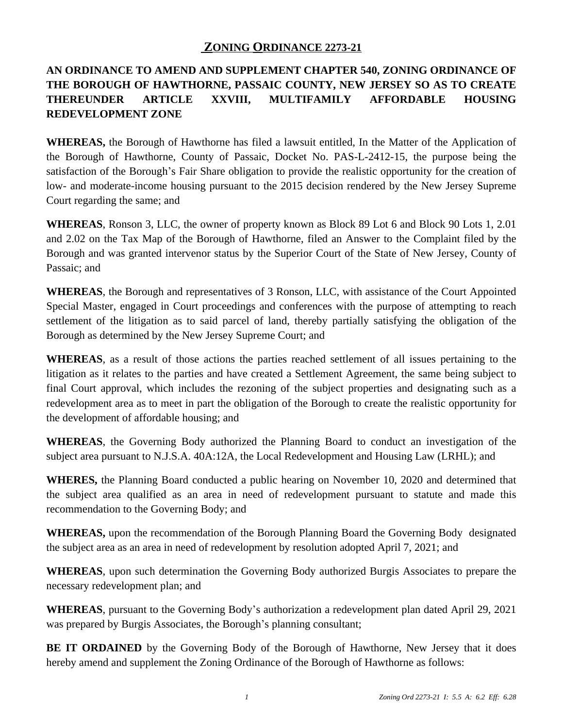## **ZONING ORDINANCE 2273-21**

# **AN ORDINANCE TO AMEND AND SUPPLEMENT CHAPTER 540, ZONING ORDINANCE OF THE BOROUGH OF HAWTHORNE, PASSAIC COUNTY, NEW JERSEY SO AS TO CREATE THEREUNDER ARTICLE XXVIII, MULTIFAMILY AFFORDABLE HOUSING REDEVELOPMENT ZONE**

**WHEREAS,** the Borough of Hawthorne has filed a lawsuit entitled, In the Matter of the Application of the Borough of Hawthorne, County of Passaic, Docket No. PAS-L-2412-15, the purpose being the satisfaction of the Borough's Fair Share obligation to provide the realistic opportunity for the creation of low- and moderate-income housing pursuant to the 2015 decision rendered by the New Jersey Supreme Court regarding the same; and

**WHEREAS**, Ronson 3, LLC, the owner of property known as Block 89 Lot 6 and Block 90 Lots 1, 2.01 and 2.02 on the Tax Map of the Borough of Hawthorne, filed an Answer to the Complaint filed by the Borough and was granted intervenor status by the Superior Court of the State of New Jersey, County of Passaic; and

**WHEREAS**, the Borough and representatives of 3 Ronson, LLC, with assistance of the Court Appointed Special Master, engaged in Court proceedings and conferences with the purpose of attempting to reach settlement of the litigation as to said parcel of land, thereby partially satisfying the obligation of the Borough as determined by the New Jersey Supreme Court; and

**WHEREAS**, as a result of those actions the parties reached settlement of all issues pertaining to the litigation as it relates to the parties and have created a Settlement Agreement, the same being subject to final Court approval, which includes the rezoning of the subject properties and designating such as a redevelopment area as to meet in part the obligation of the Borough to create the realistic opportunity for the development of affordable housing; and

**WHEREAS**, the Governing Body authorized the Planning Board to conduct an investigation of the subject area pursuant to N.J.S.A. 40A:12A, the Local Redevelopment and Housing Law (LRHL); and

**WHERES,** the Planning Board conducted a public hearing on November 10, 2020 and determined that the subject area qualified as an area in need of redevelopment pursuant to statute and made this recommendation to the Governing Body; and

**WHEREAS,** upon the recommendation of the Borough Planning Board the Governing Body designated the subject area as an area in need of redevelopment by resolution adopted April 7, 2021; and

**WHEREAS**, upon such determination the Governing Body authorized Burgis Associates to prepare the necessary redevelopment plan; and

**WHEREAS**, pursuant to the Governing Body's authorization a redevelopment plan dated April 29, 2021 was prepared by Burgis Associates, the Borough's planning consultant;

**BE IT ORDAINED** by the Governing Body of the Borough of Hawthorne, New Jersey that it does hereby amend and supplement the Zoning Ordinance of the Borough of Hawthorne as follows: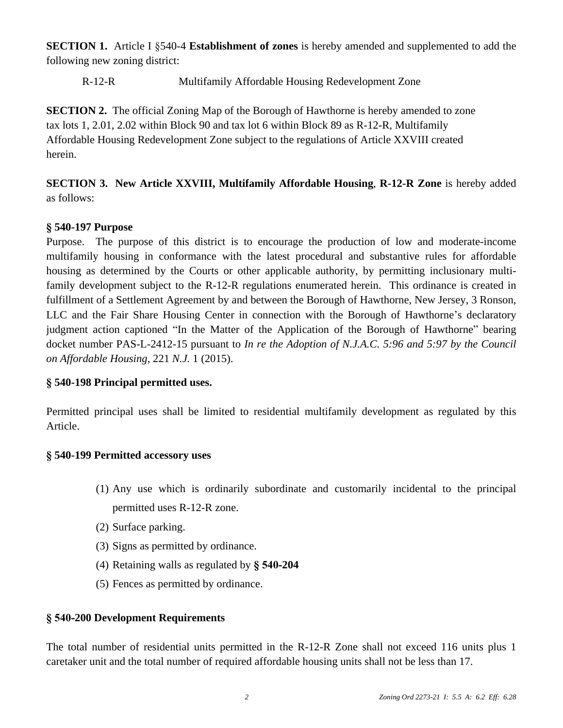**SECTION 1.** Article I §540-4 **Establishment of zones** is hereby amended and supplemented to add the following new zoning district:

R-12-R Multifamily Affordable Housing Redevelopment Zone

**SECTION 2.** The official Zoning Map of the Borough of Hawthorne is hereby amended to zone tax lots 1, 2.01, 2.02 within Block 90 and tax lot 6 within Block 89 as R-12-R, Multifamily Affordable Housing Redevelopment Zone subject to the regulations of Article XXVIII created herein.

**SECTION 3. New Article XXVIII, Multifamily Affordable Housing**, **R-12-R Zone** is hereby added as follows:

## **§ 540-197 Purpose**

Purpose. The purpose of this district is to encourage the production of low and moderate-income multifamily housing in conformance with the latest procedural and substantive rules for affordable housing as determined by the Courts or other applicable authority, by permitting inclusionary multifamily development subject to the R-12-R regulations enumerated herein. This ordinance is created in fulfillment of a Settlement Agreement by and between the Borough of Hawthorne, New Jersey, 3 Ronson, LLC and the Fair Share Housing Center in connection with the Borough of Hawthorne's declaratory judgment action captioned "In the Matter of the Application of the Borough of Hawthorne" bearing docket number PAS-L-2412-15 pursuant to *In re the Adoption of N.J.A.C. 5:96 and 5:97 by the Council on Affordable Housing*, 221 *N.J.* 1 (2015).

### **§ 540-198 Principal permitted uses.**

Permitted principal uses shall be limited to residential multifamily development as regulated by this Article.

### **§ 540-199 Permitted accessory uses**

- (1) Any use which is ordinarily subordinate and customarily incidental to the principal permitted uses R-12-R zone.
- (2) Surface parking.
- (3) Signs as permitted by ordinance.
- (4) Retaining walls as regulated by **§ 540-204**
- (5) Fences as permitted by ordinance.

## **§ 540-200 Development Requirements**

The total number of residential units permitted in the R-12-R Zone shall not exceed 116 units plus 1 caretaker unit and the total number of required affordable housing units shall not be less than 17.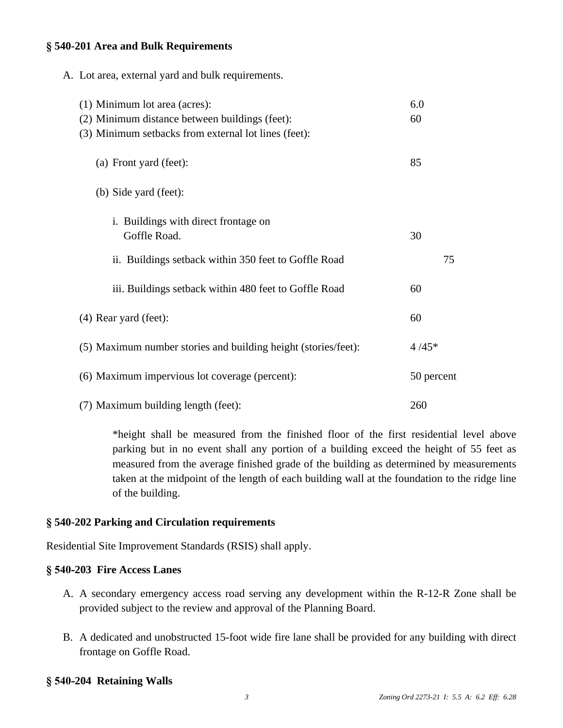#### **§ 540-201 Area and Bulk Requirements**

| A. Lot area, external yard and bulk requirements.                                                                                       |            |
|-----------------------------------------------------------------------------------------------------------------------------------------|------------|
| (1) Minimum lot area (acres):<br>(2) Minimum distance between buildings (feet):<br>(3) Minimum setbacks from external lot lines (feet): | 6.0<br>60  |
| (a) Front yard (feet):                                                                                                                  | 85         |
| (b) Side yard (feet):                                                                                                                   |            |
| i. Buildings with direct frontage on<br>Goffle Road.                                                                                    | 30         |
| ii. Buildings setback within 350 feet to Goffle Road                                                                                    | 75         |
| iii. Buildings setback within 480 feet to Goffle Road                                                                                   | 60         |
| (4) Rear yard (feet):                                                                                                                   | 60         |
| (5) Maximum number stories and building height (stories/feet):                                                                          | $4/45*$    |
| (6) Maximum impervious lot coverage (percent):                                                                                          | 50 percent |
| (7) Maximum building length (feet):                                                                                                     | 260        |

\*height shall be measured from the finished floor of the first residential level above parking but in no event shall any portion of a building exceed the height of 55 feet as measured from the average finished grade of the building as determined by measurements taken at the midpoint of the length of each building wall at the foundation to the ridge line of the building.

### **§ 540-202 Parking and Circulation requirements**

Residential Site Improvement Standards (RSIS) shall apply.

#### **§ 540-203 Fire Access Lanes**

- A. A secondary emergency access road serving any development within the R-12-R Zone shall be provided subject to the review and approval of the Planning Board.
- B. A dedicated and unobstructed 15-foot wide fire lane shall be provided for any building with direct frontage on Goffle Road.

### **§ 540-204 Retaining Walls**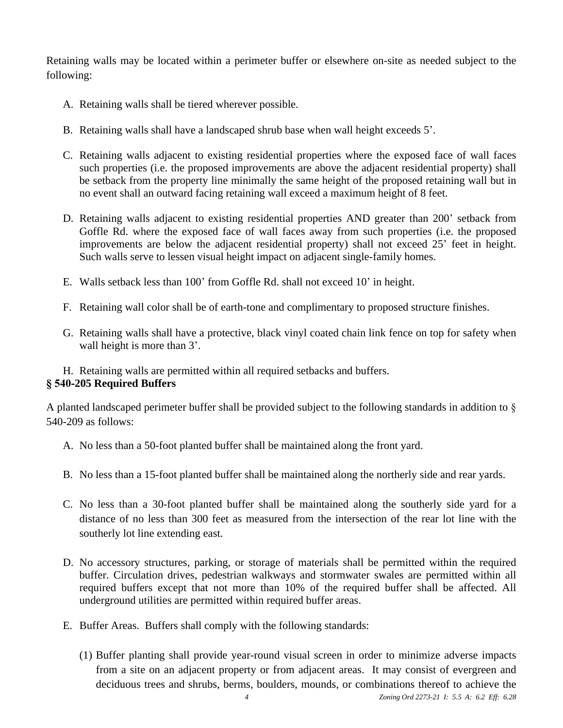Retaining walls may be located within a perimeter buffer or elsewhere on-site as needed subject to the following:

- A. Retaining walls shall be tiered wherever possible.
- B. Retaining walls shall have a landscaped shrub base when wall height exceeds 5'.
- C. Retaining walls adjacent to existing residential properties where the exposed face of wall faces such properties (i.e. the proposed improvements are above the adjacent residential property) shall be setback from the property line minimally the same height of the proposed retaining wall but in no event shall an outward facing retaining wall exceed a maximum height of 8 feet.
- D. Retaining walls adjacent to existing residential properties AND greater than 200' setback from Goffle Rd. where the exposed face of wall faces away from such properties (i.e. the proposed improvements are below the adjacent residential property) shall not exceed 25' feet in height. Such walls serve to lessen visual height impact on adjacent single-family homes.
- E. Walls setback less than 100' from Goffle Rd. shall not exceed 10' in height.
- F. Retaining wall color shall be of earth-tone and complimentary to proposed structure finishes.
- G. Retaining walls shall have a protective, black vinyl coated chain link fence on top for safety when wall height is more than 3'.
- H. Retaining walls are permitted within all required setbacks and buffers.

### **§ 540-205 Required Buffers**

A planted landscaped perimeter buffer shall be provided subject to the following standards in addition to § 540-209 as follows:

- A. No less than a 50-foot planted buffer shall be maintained along the front yard.
- B. No less than a 15-foot planted buffer shall be maintained along the northerly side and rear yards.
- C. No less than a 30-foot planted buffer shall be maintained along the southerly side yard for a distance of no less than 300 feet as measured from the intersection of the rear lot line with the southerly lot line extending east.
- D. No accessory structures, parking, or storage of materials shall be permitted within the required buffer. Circulation drives, pedestrian walkways and stormwater swales are permitted within all required buffers except that not more than 10% of the required buffer shall be affected. All underground utilities are permitted within required buffer areas.
- E. Buffer Areas. Buffers shall comply with the following standards:
	- (1) Buffer planting shall provide year-round visual screen in order to minimize adverse impacts from a site on an adjacent property or from adjacent areas. It may consist of evergreen and deciduous trees and shrubs, berms, boulders, mounds, or combinations thereof to achieve the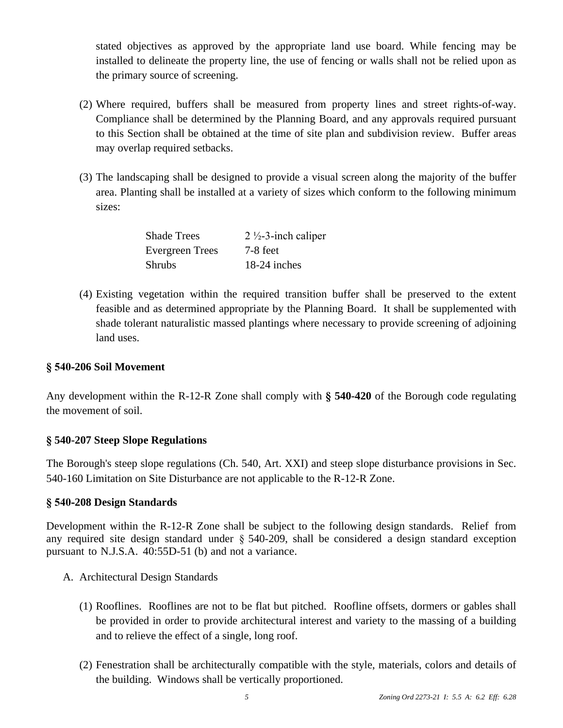stated objectives as approved by the appropriate land use board. While fencing may be installed to delineate the property line, the use of fencing or walls shall not be relied upon as the primary source of screening.

- (2) Where required, buffers shall be measured from property lines and street rights-of-way. Compliance shall be determined by the Planning Board, and any approvals required pursuant to this Section shall be obtained at the time of site plan and subdivision review. Buffer areas may overlap required setbacks.
- (3) The landscaping shall be designed to provide a visual screen along the majority of the buffer area. Planting shall be installed at a variety of sizes which conform to the following minimum sizes:

| <b>Shade Trees</b> | $2\frac{1}{2}$ -3-inch caliper |
|--------------------|--------------------------------|
| Evergreen Trees    | 7-8 feet                       |
| <b>Shrubs</b>      | 18-24 inches                   |

(4) Existing vegetation within the required transition buffer shall be preserved to the extent feasible and as determined appropriate by the Planning Board. It shall be supplemented with shade tolerant naturalistic massed plantings where necessary to provide screening of adjoining land uses.

### **§ 540-206 Soil Movement**

Any development within the R-12-R Zone shall comply with **§ 540-420** of the Borough code regulating the movement of soil.

### **§ 540-207 Steep Slope Regulations**

The Borough's steep slope regulations (Ch. 540, Art. XXI) and steep slope disturbance provisions in Sec. 540-160 Limitation on Site Disturbance are not applicable to the R-12-R Zone.

### **§ 540-208 Design Standards**

Development within the R-12-R Zone shall be subject to the following design standards. Relief from any required site design standard under § 540-209, shall be considered a design standard exception pursuant to N.J.S.A. 40:55D-51 (b) and not a variance.

- A. Architectural Design Standards
	- (1) Rooflines. Rooflines are not to be flat but pitched. Roofline offsets, dormers or gables shall be provided in order to provide architectural interest and variety to the massing of a building and to relieve the effect of a single, long roof.
	- (2) Fenestration shall be architecturally compatible with the style, materials, colors and details of the building. Windows shall be vertically proportioned.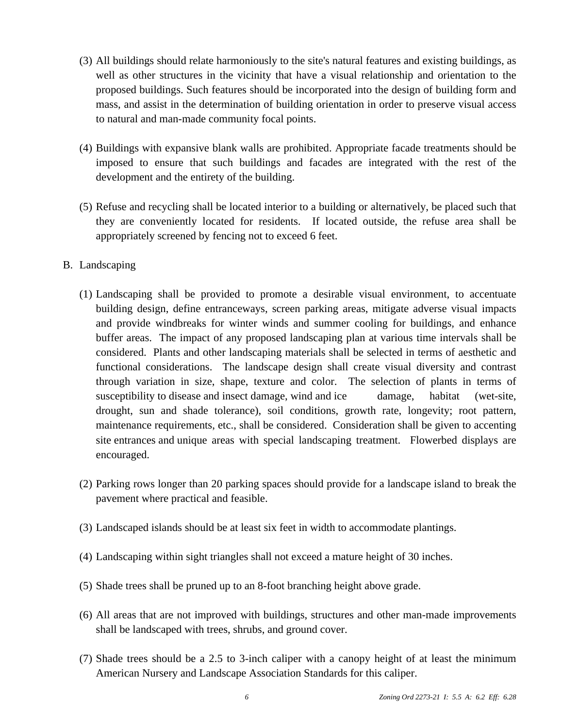- (3) All buildings should relate harmoniously to the site's natural features and existing buildings, as well as other structures in the vicinity that have a visual relationship and orientation to the proposed buildings. Such features should be incorporated into the design of building form and mass, and assist in the determination of building orientation in order to preserve visual access to natural and man-made community focal points.
- (4) Buildings with expansive blank walls are prohibited. Appropriate facade treatments should be imposed to ensure that such buildings and facades are integrated with the rest of the development and the entirety of the building.
- (5) Refuse and recycling shall be located interior to a building or alternatively, be placed such that they are conveniently located for residents. If located outside, the refuse area shall be appropriately screened by fencing not to exceed 6 feet.
- B. Landscaping
	- (1) Landscaping shall be provided to promote a desirable visual environment, to accentuate building design, define entranceways, screen parking areas, mitigate adverse visual impacts and provide windbreaks for winter winds and summer cooling for buildings*,* and enhance buffer areas. The impact of any proposed landscaping plan at various time intervals shall be considered. Plants and other landscaping materials shall be selected in terms of aesthetic and functional considerations. The landscape design shall create visual diversity and contrast through variation in size, shape, texture and color. The selection of plants in terms of susceptibility to disease and insect damage, wind and ice damage, habitat (wet-site, drought, sun and shade tolerance), soil conditions, growth rate, longevity; root pattern, maintenance requirements, etc., shall be considered. Consideration shall be given to accenting site entrances and unique areas with special landscaping treatment. Flowerbed displays are encouraged.
	- (2) Parking rows longer than 20 parking spaces should provide for a landscape island to break the pavement where practical and feasible.
	- (3) Landscaped islands should be at least six feet in width to accommodate plantings.
	- (4) Landscaping within sight triangles shall not exceed a mature height of 30 inches.
	- (5) Shade trees shall be pruned up to an 8-foot branching height above grade.
	- (6) All areas that are not improved with buildings, structures and other man-made improvements shall be landscaped with trees, shrubs, and ground cover.
	- (7) Shade trees should be a 2.5 to 3-inch caliper with a canopy height of at least the minimum American Nursery and Landscape Association Standards for this caliper.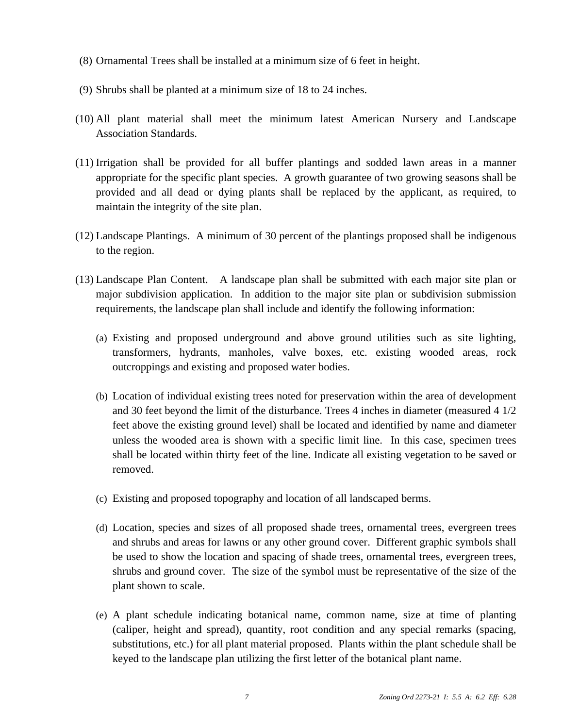- (8) Ornamental Trees shall be installed at a minimum size of 6 feet in height.
- (9) Shrubs shall be planted at a minimum size of 18 to 24 inches.
- (10) All plant material shall meet the minimum latest American Nursery and Landscape Association Standards.
- (11) Irrigation shall be provided for all buffer plantings and sodded lawn areas in a manner appropriate for the specific plant species. A growth guarantee of two growing seasons shall be provided and all dead or dying plants shall be replaced by the applicant, as required, to maintain the integrity of the site plan.
- (12) Landscape Plantings. A minimum of 30 percent of the plantings proposed shall be indigenous to the region.
- (13) Landscape Plan Content. A landscape plan shall be submitted with each major site plan or major subdivision application. In addition to the major site plan or subdivision submission requirements, the landscape plan shall include and identify the following information:
	- (a) Existing and proposed underground and above ground utilities such as site lighting, transformers, hydrants, manholes, valve boxes, etc. existing wooded areas, rock outcroppings and existing and proposed water bodies.
	- (b) Location of individual existing trees noted for preservation within the area of development and 30 feet beyond the limit of the disturbance. Trees 4 inches in diameter (measured 4 1/2 feet above the existing ground level) shall be located and identified by name and diameter unless the wooded area is shown with a specific limit line. In this case, specimen trees shall be located within thirty feet of the line. Indicate all existing vegetation to be saved or removed.
	- (c) Existing and proposed topography and location of all landscaped berms.
	- (d) Location, species and sizes of all proposed shade trees, ornamental trees, evergreen trees and shrubs and areas for lawns or any other ground cover. Different graphic symbols shall be used to show the location and spacing of shade trees, ornamental trees, evergreen trees, shrubs and ground cover. The size of the symbol must be representative of the size of the plant shown to scale.
	- (e) A plant schedule indicating botanical name, common name, size at time of planting (caliper, height and spread), quantity, root condition and any special remarks (spacing, substitutions, etc.) for all plant material proposed. Plants within the plant schedule shall be keyed to the landscape plan utilizing the first letter of the botanical plant name.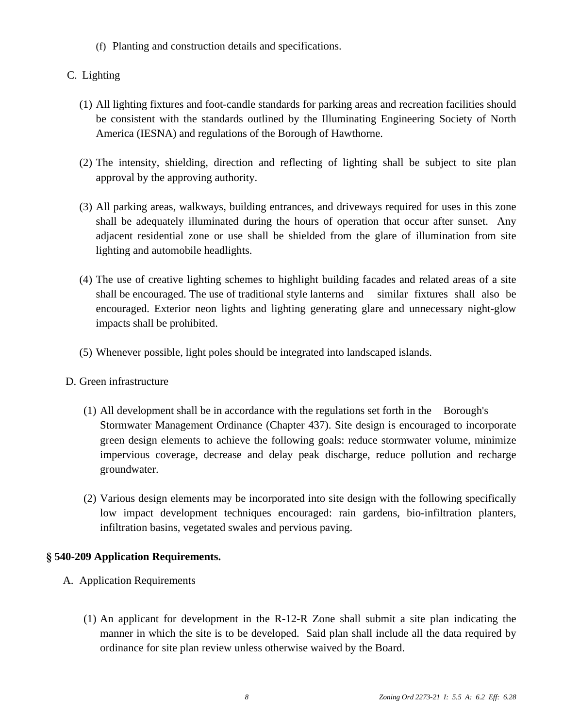(f) Planting and construction details and specifications.

### C. Lighting

- (1) All lighting fixtures and foot-candle standards for parking areas and recreation facilities should be consistent with the standards outlined by the Illuminating Engineering Society of North America (IESNA) and regulations of the Borough of Hawthorne.
- (2) The intensity, shielding, direction and reflecting of lighting shall be subject to site plan approval by the approving authority.
- (3) All parking areas, walkways, building entrances, and driveways required for uses in this zone shall be adequately illuminated during the hours of operation that occur after sunset. Any adjacent residential zone or use shall be shielded from the glare of illumination from site lighting and automobile headlights.
- (4) The use of creative lighting schemes to highlight building facades and related areas of a site shall be encouraged. The use of traditional style lanterns and similar fixtures shall also be encouraged. Exterior neon lights and lighting generating glare and unnecessary night-glow impacts shall be prohibited.
- (5) Whenever possible, light poles should be integrated into landscaped islands.
- D. Green infrastructure
	- (1) All development shall be in accordance with the regulations set forth in the Borough's Stormwater Management Ordinance (Chapter 437). Site design is encouraged to incorporate green design elements to achieve the following goals: reduce stormwater volume, minimize impervious coverage, decrease and delay peak discharge, reduce pollution and recharge groundwater.
	- (2) Various design elements may be incorporated into site design with the following specifically low impact development techniques encouraged: rain gardens, bio-infiltration planters, infiltration basins, vegetated swales and pervious paving.

### **§ 540-209 Application Requirements.**

- A. Application Requirements
	- (1) An applicant for development in the R-12-R Zone shall submit a site plan indicating the manner in which the site is to be developed. Said plan shall include all the data required by ordinance for site plan review unless otherwise waived by the Board.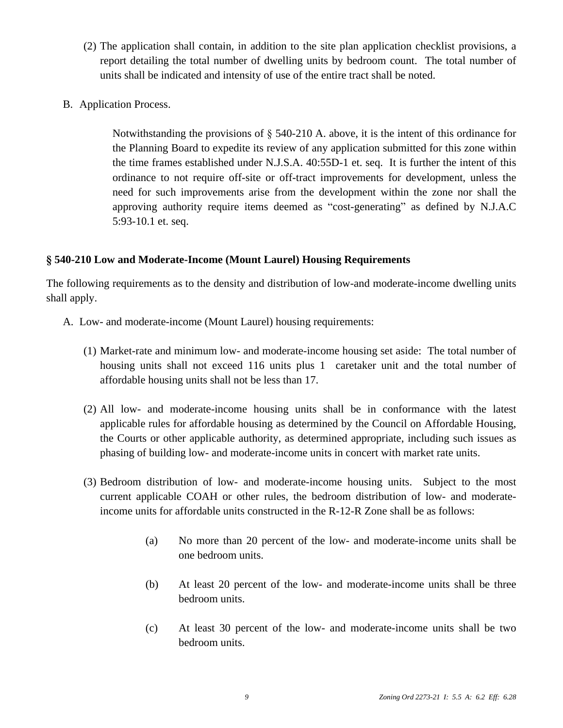- (2) The application shall contain, in addition to the site plan application checklist provisions, a report detailing the total number of dwelling units by bedroom count. The total number of units shall be indicated and intensity of use of the entire tract shall be noted.
- B. Application Process.

Notwithstanding the provisions of  $\S$  540-210 A. above, it is the intent of this ordinance for the Planning Board to expedite its review of any application submitted for this zone within the time frames established under N.J.S.A. 40:55D-1 et. seq. It is further the intent of this ordinance to not require off-site or off-tract improvements for development, unless the need for such improvements arise from the development within the zone nor shall the approving authority require items deemed as "cost-generating" as defined by N.J.A.C 5:93-10.1 et. seq.

### **[§](http://ecode360.com/32440557#32440557) [540-210](http://ecode360.com/32440557#32440557) [Low and Moderate-Income \(Mount Laurel\) Housing Requirements](http://ecode360.com/32440557#32440557)**

The following requirements as to the density and distribution of low-and [moderate-income](http://ecode360.com/32440557#32440557) dwelling units [shall apply.](http://ecode360.com/32440557#32440557) 

- A. [Low- and moderate-income \(Mount Laurel\) housing requirements:](http://ecode360.com/32440557#32440557)
	- (1) [Market-rate](http://ecode360.com/32440557#32440557) and minimum low- and [moderate-income](http://ecode360.com/32440557#32440557) housing set aside[:](http://ecode360.com/32440557#32440557) The total [number](http://ecode360.com/32440557#32440557) of [housing](http://ecode360.com/32440557#32440557) units shall not exceed [116](http://ecode360.com/32440557#32440557) [units](http://ecode360.com/32440557#32440557) plus 1 [caretaker](http://ecode360.com/32440557#32440557) unit [and](http://ecode360.com/32440557#32440557) the total [number](http://ecode360.com/32440557#32440557) of [affordable housing units shall not be less than 17.](http://ecode360.com/32440557#32440557)
	- (2) All low- and [moderate-income](http://ecode360.com/32440557#32440557) housing units shall be in [conformance](http://ecode360.com/32440557#32440557) with the latest applicable rules for affordable housing as [determined](http://ecode360.com/32440557#32440557) by the Council on Affordable Housing, the Courts or other [applicable](http://ecode360.com/32440557#32440557) authority, as determined [appropriate,](http://ecode360.com/32440557#32440557) [including](http://ecode360.com/32440557#32440557) such [issues](http://ecode360.com/32440557#32440557) as [phasing of building low- and moderate-income units in concert with market rate units.](http://ecode360.com/32440557#32440557)
	- (3) Bedroom distribution of low- and [moderate-income](http://ecode360.com/32440557#32440557) housing units. Subject to the [most](http://ecode360.com/32440557#32440557) current [applicable](http://ecode360.com/32440557#32440557) COAH or [other](http://ecode360.com/32440557#32440557) rules, the bedroom [distribution](http://ecode360.com/32440557#32440557) of low- and moderate[income units for affordable units constructed in the R-12-R Zone shall be as follows:](http://ecode360.com/32440557#32440557)
		- (a) No more than 20 percent of the low- and [moderate-income](http://ecode360.com/32440557#32440557) units shall be [one bedroom units.](http://ecode360.com/32440557#32440557)
		- (b) At least 20 percent of the low- and [moderate-income](http://ecode360.com/32440557#32440557) units shall be three [bedroom units.](http://ecode360.com/32440557#32440557)
		- (c) At least 30 percent of the low- and [moderate-income](http://ecode360.com/32440557#32440557) units shall be two [bedroom units.](http://ecode360.com/32440557#32440557)